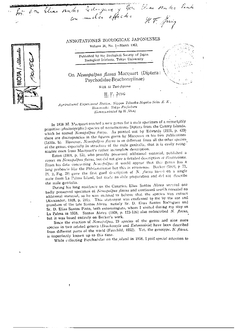Don Elias santes Edmonar y Don Elias santes Pinte

# ANNOTATIONES ZOOLOGICAE JAPONENSES

Volume 36, No. 1-March 1963,

Published by the Zoological Society of Japan Zoological Institute, Tokyo University

Ň

## On Nemopalpus flavus Macquart (Diptera: Psychodidae-Bruchomyiinae)

With 15 Text-figures

## H. F. JUNG

Agricultural Experiment Station, Nippon Tokushu-Noyaku-Seizo K. K., Hinomachi, Tokyo Prefecture (Communicated by H., OKA)

In 1838 M. Macquart erected a new genus for a male specimen of a remarkably primitive (plesiomorphic) species of nematocerous Diptera from the Canary Islands, which he named Nemopalpus flavus. As pointed out by Edwards (1921, p. 439) there are discrepancies in the figures given by Macquart in his two publications (1838a, b). However, Nemopalpus flavus is so different from all the other species of the genus, especially in structure of the male genitalia, that it is easily recognizable even from Macquart's rather incomplete description.

Eaton (1904, p. 55), who possibly possessed additional material, published a report on Nemopalpus flavus, but did not give a detailed description or illustrations. From his data concerning Nemopalpus it would appear that this genus has a long proboscis like the Phlebotominae but this is erroneous. Becker (1908, p. 71, Pl. 2, Fig. 28) gave the first good description of N. flarns based on a single male from La Palma Island, but made no slide preparation and did not describe the male genitalia.

During his long residence on the Canaries, Elias Santos Abreu secured one badly preserved specimen of Nemopalpus flavus and continued search revealed no additional material, so he was inclined to believe that the species was extinct (Alexander, 1928, p. 291). This statement was confirmed to me by the son and grandson of the late Santos Abreu, namely Sr. D. Elias Santos Rodriguez and Sr. D. Elias Santos Pinto, both entomologists, whom I visited during my stay on La Palma in 1958. Santos Abreu (1939, p. 123-126) also redescribed  $N$ . flavus, but it was based entirely on Becker's work.

Since the erection of Nemopalpus, 19 species of the genus and nine more species in two related genera (Bruchomyia and Eutonnoiria) have been described from different parts of the world (Fairchild, 1952). Yet, the genotype, N. flavus, is imperfectly known up to this time.

While collecting Psychodidae on the island in 1958, I paid special attention to

ſ

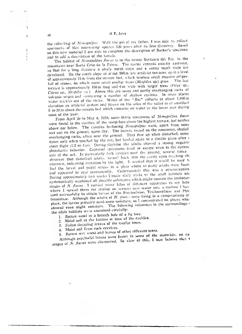H F. JUNG

 $\mathbf{r}$ 

f,

the collecting of Nemopalpus. With the aid of my father, I was able to collect specimens of this interesting species 120 years after its first discovery. Based on this new material I am able to complete the description of Becker's specimen and to add a description of the female.

The habitat of Nemopalpus flames is in the ravine Barranco del Rio. in the mountains near Santa Cruz de la Palma. The ravine extends exactly eastwest, so that for a long distance a shady north slope and a sunny south slope are developed. On the south slope at about 500 m are artificial terraces, up to a level of approximately 15 m from the stream bed, which produce small meadow-stripes. full of stones, on which some small medlar trees (Mespilus sp.) grow. The last terrace is approximately 100 m long and 6 m wide with larger trees (Ficus sp., Citrus sp., *Mespilus* sp.). Above this are steep and partly overhanging rocks of volcanic origin and containing a number of shallow cavities. In some places water trickles out of the rocks. Water of the "Rio" collects at about 1,000 m elevation an artificial system and passes on the sides of the valley in an aqueduct 5 to 20 m above the stream bed which contains no water in the lower part during most of the year.

From April 20 to May 4, 1958, some thirty specimens of Nemopalpus flavus were found in the cavities of the steep face above the highest terrace, but neither above nor below. The cavities harboring Nemopalpus were, apart from some wet soil on the ground, quite dry. The insects rested on the innermost, shaded overhanging rocks, often near the ground. They flew up when disturbed, some times only when touched by the net, but landed again in a similar place after a short flight  $(1/2$  to  $4 \text{ m}$ ). During daytime the adults showed a strong negative phototactic behavior. Captured specimens tried to escape even to the darkes side of the net. In particularly dark cavities near the ground, several times observed that disturbed adults, turned back into the cavity upon reaching the entrance, indicating irritation by the light. It seemed that it would be easy to find the larval and pupal stages in a place where so many adalts were found and appeared to stay permanently. Unfortunately this was a misconception During approximately two weeks I made daily visits to the adult habitats and systematically examined all possible substrates which might contain the immature stages of N. flavus. I carried many kilos of different substrates to my hote where I spread them for drying on screens over water jars, a method I havused successfully to obtain larvae of the Psychodinae, Trichomylinae and Phle botominae. Although the adults of  $N$ .  $flaws$  were living in a comparatively dr place, the larvae probably need some moisture, so I concentrated on places which showed even slight moisture. The following substrates in the surroundings the adult habitats were examined carefully:

- 1. Rotten wood in a branch hole of a fig tree.
- 2. Moist soil at the bottom or base of the cavities.
- 3. Fallen decaying leaves of the medlar trees.
- 4. Moist soil from rock crevices.

f

5. Rotten wet wood and leaves of other different trees.

Although psychodid larvae were found in some of the materials, no car stages of  $N$ . fluens were discovered. In view of this, I now believe that t

 $46$ 

Í

ţ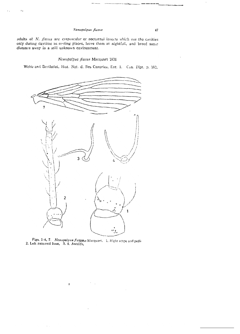#### Nemopalpus flavus

 $\epsilon$ .

adults of N. flavus are crepuscular or nocturnal insects which use the cavities only during daytime as resting places, leave them at nightfall, and breed some distance away in a still unknown environment.

#### Nemopalpus flavus Macquart 1838

Webb and Berthelot, Hist. Nat. d. Iles Canaries, Ent. 1. Can. Dipt. p. 102,



Figs. 1-4, 7. Nemopalpus flatsses Macquart. 1. Right scape and pedia 2. Left antennal base, 3, 4. Ascoids,

 $\pmb{\mathsf{r}}$ 

47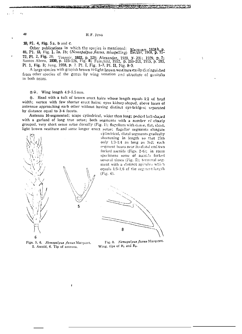**ANTES MARK** 

10, Pl. 4, Fig. 5a, b and c.

Other publications in which the species is mentioned: 81, P1. 13, Fig. 1, 1a, 1b; (Nemapalpus flavus, misspelling) 72, Pl. 2, Fig. 28; Tonnoir, 1922, p. 128; Alexander, 1928, y. 291; 1929, p. 7; Santos Abreu, 1930, p. 123-126, Fig. 8; Fairchild, 1952, p. 260-261, 1955, p. 183, Pl. 1, Fig. 3; Jung, 1958, p. 7. Pl. I, Fig. 1-7, Pl. II, Fig. 8-9.

A large species with grayish brown to light brown vestiture casily distinguished from other species of the genus by wing venation and structure of genitalia in both sexes.

#### 含♀. Wing length 4.9-5.5 mm.

S. Head with a tuft of brown erect hairs whose length equals 1/2 of head width; vertex with few shorter erect hairs; eyes kidney-shaped, above bases of antennae approaching each other without having distinct cyc-bridges; separated by distance equal to 3-4 facets.

Antenna 16-segmented; scape cylindrical, wider than long; pedicel ball-shaped with a garland of long true setae; both segments with a number of closely grouped, very short sense setae dorsally (Fig. 1); flagellum with dense, flat, short, light brown vestiture and some longer erect setae; flagellar segments clongate

cylindrical, distal segments gradually shortening in length so that 15th only 1/3-1/4 as long as 3rd; each segment bears near its distal end two forked ascoids (Figs. 2-6); in some specimens some of ascoids forked several times (Fig. 5); terminal segment with a distinct apiculus which equals 1/5-1/6 of the segment length (Fig. 6).

 $\mathcal{L}$ 



Figs. 5, 6. Nemopalpus flavus Macquart. 5. Ascoid, 6. Tip of antenna.

f

5

Fig. 8. Nemopalpus flavus Macquart. Wing, tips of R<sub>1</sub> and R<sub>2</sub>.

#### 48

 $\overline{1}$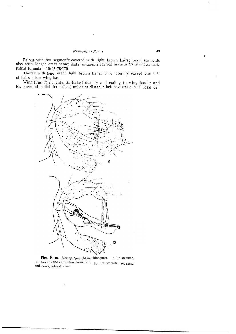### Nemopalpus flavus

Palpus with five segments covered with light brown hairs; basal segments also with longer erect setae; distal segments carried inwards by living animal; palpal formula =  $10:25:75:170$ .

Thorax with long, erect. light brown hairs; bare laterally except one tuft of hairs below wing base.

Wing (Fig. 7) elongate, Sc forked distally and ending in wing border and  $R_i$ ; stem of radial fork  $(R_{i+3})$  arises at distance before distal end of basal cell



Figs. 9, 10. Nemopalpus flavus hincqunrt. 9. 9th sternite, left forceps and cerci seen from left, 10, 9th sternite. aedeagus and cerci, leteral view.

f

 $\pmb{\cdot}$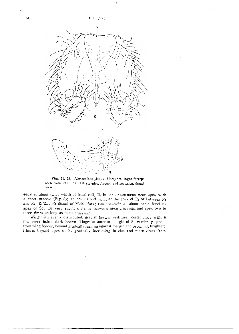ţ

H.F. JUNG



Figs. 11, 12. Nemopalpus flavus Macquart. Right forceps seen from left. 12. Yih sternite, forceps and aedeagus, dorsal view,

equal to about twice width of basal cell;  $R_2$  in some specimens near apex with a chort process (Fig. 8); rounded tip of wing at the apex of  $R_3$  or between  $R_3$ and R<sub>i</sub>; R<sub>2</sub>/R<sub>3</sub> fork distad of  $M_{1}/M_{2}$  fork; r-m crossvein at about same level as apex of Sc; Cu very short, distance between ni-cu crossvein and apex two to three times as long as m-cu crossvein.

Wing with evenly distributed, grayish brown vestiture; costal node with a few erect hairs; dark brown fi-inges at anterior margin of Sc vertically spread frorn wing border, beyond gradually leaning against margin and becoming brighter; fringes beyond apex of R<sub>1</sub> gradually increasing in size and more erect from

 $\mathbf{I}$ 

50

 $^{\prime}$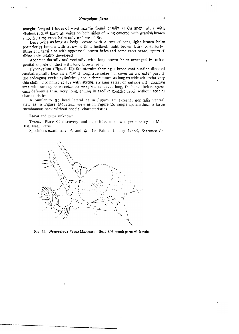margin; longest fringes of wing margin found basally at Cu apex; alula with distinct tuft of hair; all veins on both sides of wing covered with grayish brown smooth hairs; erect hairs only at base of Sc.

Legs twice as long as body; coxae with a row of iong light brown hairs posteriorly; femora with 3 row of thin, inclined, light brown hairs posteriorly; tibiae and tarsi also with oppressed, brown hairs and some erect setae; spurs of tibiae only weakly developed

Abdomen dorsally and ventrally with long brown hairs arranged in tufts: genital capsule clothed with long brown setae.

Hypopygium (Figs. 9-12); 9th sternite forming a broad continuation directed caudad, apically bearing a row of long true setae and covering u greater part of the aedeagus; coxite cylindrical, about three times as long as wide with relatively thin clothing of hnirs; stylus with strong, striking setae, on outside with concave area with strong, short setae on margins; aedeagus long, thickened before apex; vasa deferentia thin, very long, ending in sac-like gonads; cerci without special characteristics.

2 Similar to  $\hat{\infty}$ : head lateral as in Figure 13; external genitalia ventral view as in Figure 14; lateral view as in Figure 15; single spermatheca a large membranous sack without special characteristics.

#### Larva and pupa unknown.

Typus: Place of discovery and deposition unknown, presumably in Mus. Hist. Nat., Paris.

Speciniens examined:  $\hat{\sigma}$  and  $\hat{\sigma}$ . La Palma. Canary Island, Barranco del



Fig. 13. Nemopalpus flavus Macquart. Head and mouth-parts of female.

 $\mathbf{I}$ 

 $\mathfrak{t}$ 

 $\omega_{\rm{max}}$  and  $\omega_{\rm{max}}$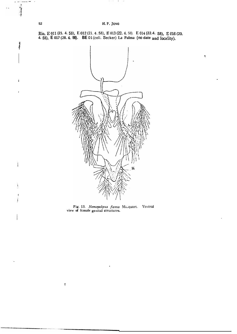Rio, E 011 (21. 4. 58), E 012 (21. 4. 58), E 013 (22. 4. 58). E 014 (22.4. 58), E 016 (20.<br>4. 58), E 017 (28. 4. 58). BE 01 (coll. Becker) La Palma (no date and locality).

 $\mathbf{I}$ 



Fig. 13. Nemopalpus flavus Macquart. Ventral view of female genital structures.

 $\mathbf{I}$ 

**Although** 

 $\ddot{\phantom{a}}$ 

Ť

J. j

j i